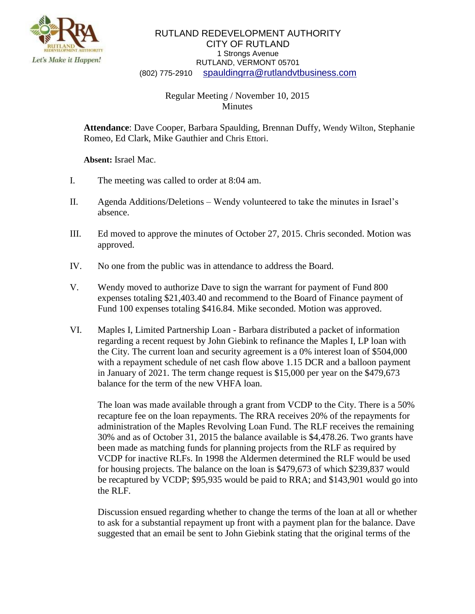

## RUTLAND REDEVELOPMENT AUTHORITY CITY OF RUTLAND 1 Strongs Avenue RUTLAND, VERMONT 05701 (802) 775-2910 [spauldingrra@rutlandvtbusiness.com](mailto:allenrra@rutlandvtbusiness.com)

## Regular Meeting / November 10, 2015 Minutes

**Attendance**: Dave Cooper, Barbara Spaulding, Brennan Duffy, Wendy Wilton, Stephanie Romeo, Ed Clark, Mike Gauthier and Chris Ettori.

**Absent:** Israel Mac.

- I. The meeting was called to order at 8:04 am.
- II. Agenda Additions/Deletions Wendy volunteered to take the minutes in Israel's absence.
- III. Ed moved to approve the minutes of October 27, 2015. Chris seconded. Motion was approved.
- IV. No one from the public was in attendance to address the Board.
- V. Wendy moved to authorize Dave to sign the warrant for payment of Fund 800 expenses totaling \$21,403.40 and recommend to the Board of Finance payment of Fund 100 expenses totaling \$416.84. Mike seconded. Motion was approved.
- VI. Maples I, Limited Partnership Loan Barbara distributed a packet of information regarding a recent request by John Giebink to refinance the Maples I, LP loan with the City. The current loan and security agreement is a 0% interest loan of \$504,000 with a repayment schedule of net cash flow above 1.15 DCR and a balloon payment in January of 2021. The term change request is \$15,000 per year on the \$479,673 balance for the term of the new VHFA loan.

The loan was made available through a grant from VCDP to the City. There is a 50% recapture fee on the loan repayments. The RRA receives 20% of the repayments for administration of the Maples Revolving Loan Fund. The RLF receives the remaining 30% and as of October 31, 2015 the balance available is \$4,478.26. Two grants have been made as matching funds for planning projects from the RLF as required by VCDP for inactive RLFs. In 1998 the Aldermen determined the RLF would be used for housing projects. The balance on the loan is \$479,673 of which \$239,837 would be recaptured by VCDP; \$95,935 would be paid to RRA; and \$143,901 would go into the RLF.

Discussion ensued regarding whether to change the terms of the loan at all or whether to ask for a substantial repayment up front with a payment plan for the balance. Dave suggested that an email be sent to John Giebink stating that the original terms of the